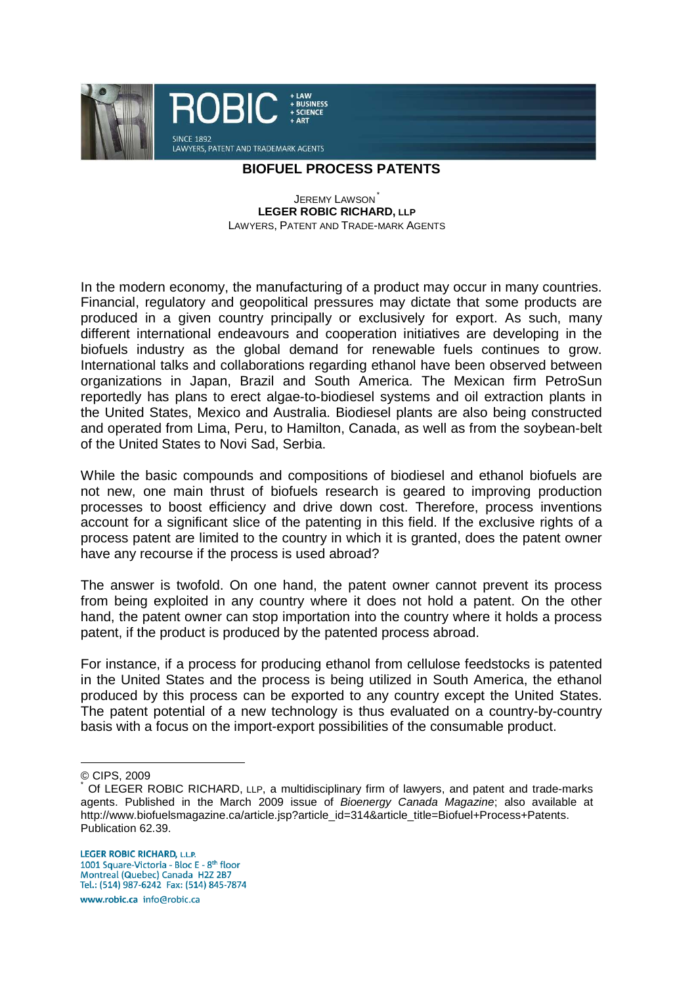

## **BIOFUEL PROCESS PATENTS**

**JEREMY LAWSON LEGER ROBIC RICHARD, LLP** LAWYERS, PATENT AND TRADE-MARK AGENTS

In the modern economy, the manufacturing of a product may occur in many countries. Financial, regulatory and geopolitical pressures may dictate that some products are produced in a given country principally or exclusively for export. As such, many different international endeavours and cooperation initiatives are developing in the biofuels industry as the global demand for renewable fuels continues to grow. International talks and collaborations regarding ethanol have been observed between organizations in Japan, Brazil and South America. The Mexican firm PetroSun reportedly has plans to erect algae-to-biodiesel systems and oil extraction plants in the United States, Mexico and Australia. Biodiesel plants are also being constructed and operated from Lima, Peru, to Hamilton, Canada, as well as from the soybean-belt of the United States to Novi Sad, Serbia.

While the basic compounds and compositions of biodiesel and ethanol biofuels are not new, one main thrust of biofuels research is geared to improving production processes to boost efficiency and drive down cost. Therefore, process inventions account for a significant slice of the patenting in this field. If the exclusive rights of a process patent are limited to the country in which it is granted, does the patent owner have any recourse if the process is used abroad?

The answer is twofold. On one hand, the patent owner cannot prevent its process from being exploited in any country where it does not hold a patent. On the other hand, the patent owner can stop importation into the country where it holds a process patent, if the product is produced by the patented process abroad.

For instance, if a process for producing ethanol from cellulose feedstocks is patented in the United States and the process is being utilized in South America, the ethanol produced by this process can be exported to any country except the United States. The patent potential of a new technology is thus evaluated on a country-by-country basis with a focus on the import-export possibilities of the consumable product.

 $\overline{a}$ 

www.robic.ca info@robic.ca

<sup>©</sup> CIPS, 2009

<sup>\*</sup> Of LEGER ROBIC RICHARD, LLP, a multidisciplinary firm of lawyers, and patent and trade-marks agents. Published in the March 2009 issue of Bioenergy Canada Magazine; also available at http://www.biofuelsmagazine.ca/article.jsp?article\_id=314&article\_title=Biofuel+Process+Patents. Publication 62.39.